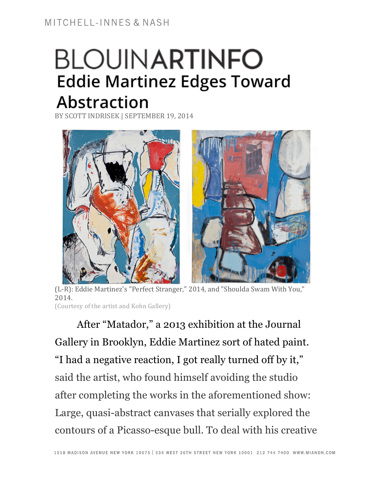## **BLOUINARTINFO Eddie Martinez Edges Toward Abstraction**

BY SCOTT INDRISEK | SEPTEMBER 19, 2014



(L-R): Eddie Martinez's "Perfect Stranger," 2014, and "Shoulda Swam With You," 2014. (Courtesy of the artist and Kohn Gallery)

After "Matador," a 2013 exhibition at the Journal Gallery in Brooklyn, Eddie Martinez sort of hated paint. "I had a negative reaction, I got really turned off by it," said the artist, who found himself avoiding the studio after completing the works in the aforementioned show: Large, quasi-abstract canvases that serially explored the contours of a Picasso-esque bull. To deal with his creative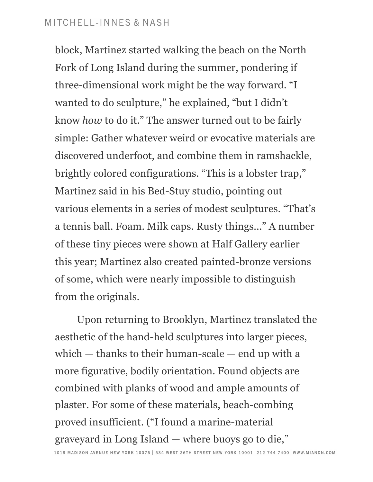## MITCHELL-INNES & NASH

block, Martinez started walking the beach on the North Fork of Long Island during the summer, pondering if three-dimensional work might be the way forward. "I wanted to do sculpture," he explained, "but I didn't know *how* to do it." The answer turned out to be fairly simple: Gather whatever weird or evocative materials are discovered underfoot, and combine them in ramshackle, brightly colored configurations. "This is a lobster trap," Martinez said in his Bed-Stuy studio, pointing out various elements in a series of modest sculptures. "That's a tennis ball. Foam. Milk caps. Rusty things..." A number of these tiny pieces were shown at Half Gallery earlier this year; Martinez also created painted-bronze versions of some, which were nearly impossible to distinguish from the originals.

Upon returning to Brooklyn, Martinez translated the aesthetic of the hand-held sculptures into larger pieces, which — thanks to their human-scale — end up with a more figurative, bodily orientation. Found objects are combined with planks of wood and ample amounts of plaster. For some of these materials, beach-combing proved insufficient. ("I found a marine-material graveyard in Long Island — where buoys go to die,"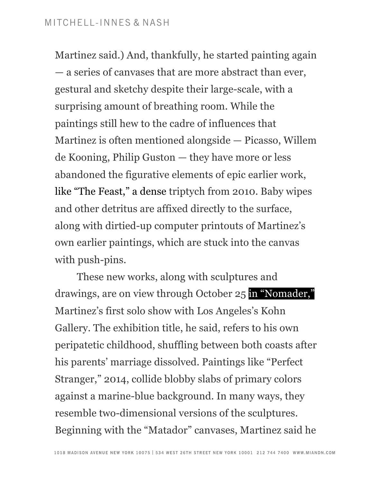Martinez said.) And, thankfully, he started painting again — a series of canvases that are more abstract than ever, gestural and sketchy despite their large-scale, with a surprising amount of breathing room. While the paintings still hew to the cadre of influences that Martinez is often mentioned alongside — Picasso, Willem de Kooning, Philip Guston — they have more or less abandoned the figurative elements of epic earlier work, like "The Feast," a dense triptych from 2010. Baby wipes and other detritus are affixed directly to the surface, along with dirtied-up computer printouts of Martinez's own earlier paintings, which are stuck into the canvas with push-pins.

These new works, along with sculptures and drawings, are on view through October 25 in "Nomader," Martinez's first solo show with Los Angeles's Kohn Gallery. The exhibition title, he said, refers to his own peripatetic childhood, shuffling between both coasts after his parents' marriage dissolved. Paintings like "Perfect Stranger," 2014, collide blobby slabs of primary colors against a marine-blue background. In many ways, they resemble two-dimensional versions of the sculptures. Beginning with the "Matador" canvases, Martinez said he